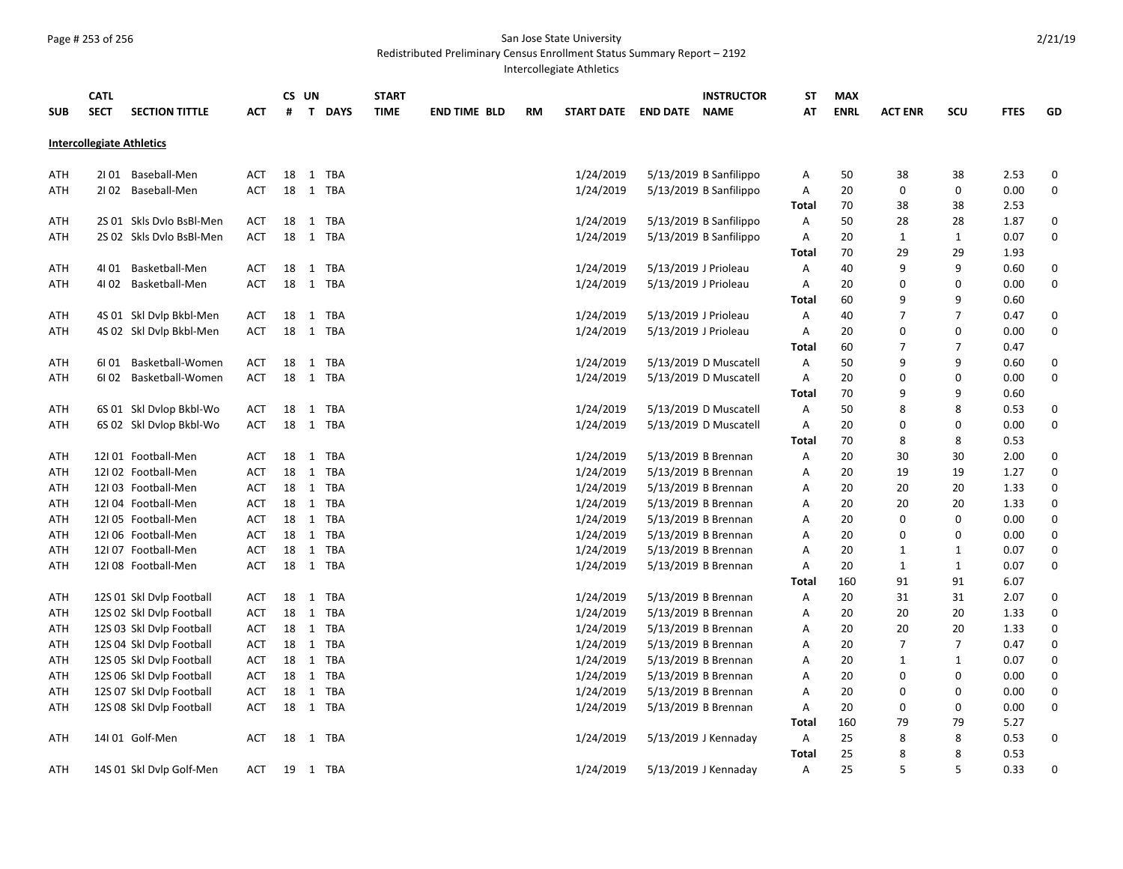## Page # 253 of 256 San Jose State University

Redistributed Preliminary Census Enrollment Status Summary Report – 2192

Intercollegiate Athletics

| <b>SUB</b> | <b>CATL</b><br><b>SECT</b>       | <b>SECTION TITTLE</b><br>ACT           | #  | CS UN        | T DAYS   | <b>START</b><br><b>TIME</b> | <b>END TIME BLD</b> | RM | START DATE END DATE NAME | <b>INSTRUCTOR</b>      | SТ<br>AΤ     | <b>MAX</b><br><b>ENRL</b> | <b>ACT ENR</b> | SCU          | <b>FTES</b> | GD          |
|------------|----------------------------------|----------------------------------------|----|--------------|----------|-----------------------------|---------------------|----|--------------------------|------------------------|--------------|---------------------------|----------------|--------------|-------------|-------------|
|            |                                  |                                        |    |              |          |                             |                     |    |                          |                        |              |                           |                |              |             |             |
|            | <b>Intercollegiate Athletics</b> |                                        |    |              |          |                             |                     |    |                          |                        |              |                           |                |              |             |             |
| ATH        | 2101 Baseball-Men                | <b>ACT</b>                             | 18 |              | 1 TBA    |                             |                     |    | 1/24/2019                | 5/13/2019 B Sanfilippo | A            | 50                        | 38             | 38           | 2.53        | 0           |
| ATH        | 2102 Baseball-Men                | <b>ACT</b>                             | 18 |              | 1 TBA    |                             |                     |    | 1/24/2019                | 5/13/2019 B Sanfilippo | Α            | 20                        | 0              | 0            | 0.00        | 0           |
|            |                                  |                                        |    |              |          |                             |                     |    |                          |                        | Total        | 70                        | 38             | 38           | 2.53        |             |
| ATH        |                                  | 2S 01 Skls Dvlo BsBl-Men<br><b>ACT</b> | 18 | 1            | TBA      |                             |                     |    | 1/24/2019                | 5/13/2019 B Sanfilippo | A            | 50                        | 28             | 28           | 1.87        | 0           |
| ATH        |                                  | 2S 02 Skls Dvlo BsBl-Men<br><b>ACT</b> | 18 |              | 1 TBA    |                             |                     |    | 1/24/2019                | 5/13/2019 B Sanfilippo | Α            | 20                        | $\mathbf{1}$   | $\mathbf{1}$ | 0.07        | $\pmb{0}$   |
|            |                                  |                                        |    |              |          |                             |                     |    |                          |                        | Total        | 70                        | 29             | 29           | 1.93        |             |
| ATH        | 41 01                            | Basketball-Men<br><b>ACT</b>           | 18 | $\mathbf{1}$ | TBA      |                             |                     |    | 1/24/2019                | 5/13/2019 J Prioleau   | Α            | 40                        | 9              | 9            | 0.60        | 0           |
| ATH        | 41 02 Basketball-Men             | <b>ACT</b>                             | 18 |              | 1 TBA    |                             |                     |    | 1/24/2019                | 5/13/2019 J Prioleau   | Α            | 20                        | 0              | $\mathbf 0$  | 0.00        | 0           |
|            |                                  |                                        |    |              |          |                             |                     |    |                          |                        | Total        | 60                        | 9              | 9            | 0.60        |             |
| ATH        |                                  | 4S 01 Skl Dvlp Bkbl-Men<br><b>ACT</b>  | 18 | $\mathbf{1}$ | TBA      |                             |                     |    | 1/24/2019                | 5/13/2019 J Prioleau   | Α            | 40                        | 7              | 7            | 0.47        | 0           |
| ATH        |                                  | <b>ACT</b><br>4S 02 Skl Dvlp Bkbl-Men  | 18 |              | 1 TBA    |                             |                     |    | 1/24/2019                | 5/13/2019 J Prioleau   | Α            | 20                        | 0              | $\mathbf 0$  | 0.00        | 0           |
|            |                                  |                                        |    |              |          |                             |                     |    |                          |                        | <b>Total</b> | 60                        | $\overline{7}$ | 7            | 0.47        |             |
| ATH        | 6I 01                            | Basketball-Women<br><b>ACT</b>         | 18 | $\mathbf{1}$ | TBA      |                             |                     |    | 1/24/2019                | 5/13/2019 D Muscatell  | Α            | 50                        | 9              | 9            | 0.60        | 0           |
| ATH        | 6I 02                            | Basketball-Women<br><b>ACT</b>         | 18 |              | 1 TBA    |                             |                     |    | 1/24/2019                | 5/13/2019 D Muscatell  | A            | 20                        | 0              | 0            | 0.00        | 0           |
|            |                                  |                                        |    |              |          |                             |                     |    |                          |                        | Total        | 70                        | 9              | 9            | 0.60        |             |
| ATH        |                                  | 6S 01 Skl Dvlop Bkbl-Wo<br><b>ACT</b>  | 18 | $\mathbf{1}$ | TBA      |                             |                     |    | 1/24/2019                | 5/13/2019 D Muscatell  | Α            | 50                        | 8              | 8            | 0.53        | $\pmb{0}$   |
| ATH        |                                  | 6S 02 Skl Dvlop Bkbl-Wo<br><b>ACT</b>  | 18 |              | 1 TBA    |                             |                     |    | 1/24/2019                | 5/13/2019 D Muscatell  | A            | 20                        | 0              | 0            | 0.00        | 0           |
|            |                                  |                                        |    |              |          |                             |                     |    |                          |                        | Total        | 70                        | 8              | 8            | 0.53        |             |
| ATH        | 12101 Football-Men               | <b>ACT</b>                             | 18 |              | 1 TBA    |                             |                     |    | 1/24/2019                | 5/13/2019 B Brennan    | Α            | 20                        | 30             | 30           | 2.00        | 0           |
| ATH        | 12102 Football-Men               | <b>ACT</b>                             | 18 |              | 1 TBA    |                             |                     |    | 1/24/2019                | 5/13/2019 B Brennan    | Α            | 20                        | 19             | 19           | 1.27        | 0           |
| ATH        | 12I03 Football-Men               | <b>ACT</b>                             | 18 |              | 1 TBA    |                             |                     |    | 1/24/2019                | 5/13/2019 B Brennan    | Α            | 20                        | 20             | 20           | 1.33        | 0           |
| ATH        | 12I04 Football-Men               | <b>ACT</b>                             | 18 |              | 1 TBA    |                             |                     |    | 1/24/2019                | 5/13/2019 B Brennan    | Α            | 20                        | 20             | 20           | 1.33        | 0           |
| ATH        | 12105 Football-Men               | ACT                                    | 18 |              | 1 TBA    |                             |                     |    | 1/24/2019                | 5/13/2019 B Brennan    | Α            | 20                        | 0              | 0            | 0.00        | $\pmb{0}$   |
| ATH        | 12106 Football-Men               | <b>ACT</b>                             | 18 |              | 1 TBA    |                             |                     |    | 1/24/2019                | 5/13/2019 B Brennan    | Α            | 20                        | 0              | 0            | 0.00        | $\pmb{0}$   |
| ATH        | 12I 07 Football-Men              | <b>ACT</b>                             | 18 |              | 1 TBA    |                             |                     |    | 1/24/2019                | 5/13/2019 B Brennan    | Α            | 20                        | $\mathbf{1}$   | 1            | 0.07        | 0           |
| ATH        | 12108 Football-Men               | <b>ACT</b>                             | 18 |              | 1 TBA    |                             |                     |    | 1/24/2019                | 5/13/2019 B Brennan    | Α            | 20                        | $\mathbf{1}$   | $\mathbf{1}$ | 0.07        | $\mathbf 0$ |
|            |                                  |                                        |    |              |          |                             |                     |    |                          |                        | Total        | 160                       | 91             | 91           | 6.07        |             |
| ATH        | 12S 01 Skl Dvlp Football         | <b>ACT</b>                             | 18 |              | 1 TBA    |                             |                     |    | 1/24/2019                | 5/13/2019 B Brennan    | Α            | 20                        | 31             | 31           | 2.07        | 0           |
| ATH        | 12S 02 Skl Dvlp Football         | <b>ACT</b>                             | 18 |              | 1 TBA    |                             |                     |    | 1/24/2019                | 5/13/2019 B Brennan    | Α            | 20                        | 20             | 20           | 1.33        | 0           |
| ATH        | 12S 03 Skl Dvlp Football         | <b>ACT</b>                             | 18 |              | 1 TBA    |                             |                     |    | 1/24/2019                | 5/13/2019 B Brennan    | Α            | 20                        | 20             | 20           | 1.33        | $\pmb{0}$   |
| ATH        | 12S 04 Skl Dvlp Football         | <b>ACT</b>                             | 18 |              | 1 TBA    |                             |                     |    | 1/24/2019                | 5/13/2019 B Brennan    | Α            | 20                        | $\overline{7}$ | 7            | 0.47        | 0           |
| ATH        | 12S 05 Skl Dvlp Football         | <b>ACT</b>                             | 18 |              | 1 TBA    |                             |                     |    | 1/24/2019                | 5/13/2019 B Brennan    | Α            | 20                        | $\mathbf{1}$   | 1            | 0.07        | 0           |
| ATH        | 12S 06 Skl Dvlp Football         | <b>ACT</b>                             | 18 |              | 1 TBA    |                             |                     |    | 1/24/2019                | 5/13/2019 B Brennan    | Α            | 20                        | 0              | $\mathbf 0$  | 0.00        | $\pmb{0}$   |
| ATH        | 12S 07 Skl Dvlp Football         | <b>ACT</b>                             | 18 |              | 1 TBA    |                             |                     |    | 1/24/2019                | 5/13/2019 B Brennan    | Α            | 20                        | 0              | 0            | 0.00        | $\pmb{0}$   |
| ATH        | 12S 08 Skl Dvlp Football         | <b>ACT</b>                             |    |              | 18 1 TBA |                             |                     |    | 1/24/2019                | 5/13/2019 B Brennan    | Α            | 20                        | 0              | 0            | 0.00        | 0           |
|            |                                  |                                        |    |              |          |                             |                     |    |                          |                        | Total        | 160                       | 79             | 79           | 5.27        |             |
| ATH        | 14l 01 Golf-Men                  | <b>ACT</b>                             | 18 |              | 1 TBA    |                             |                     |    | 1/24/2019                | 5/13/2019 J Kennaday   | Α            | 25                        | 8              | 8            | 0.53        | 0           |
|            |                                  |                                        |    |              |          |                             |                     |    |                          |                        | Total        | 25                        | 8<br>5         | 8<br>5       | 0.53        |             |
| ATH        |                                  | 14S 01 Skl Dvlp Golf-Men<br><b>ACT</b> | 19 |              | 1 TBA    |                             |                     |    | 1/24/2019                | 5/13/2019 J Kennaday   | A            | 25                        |                |              | 0.33        | 0           |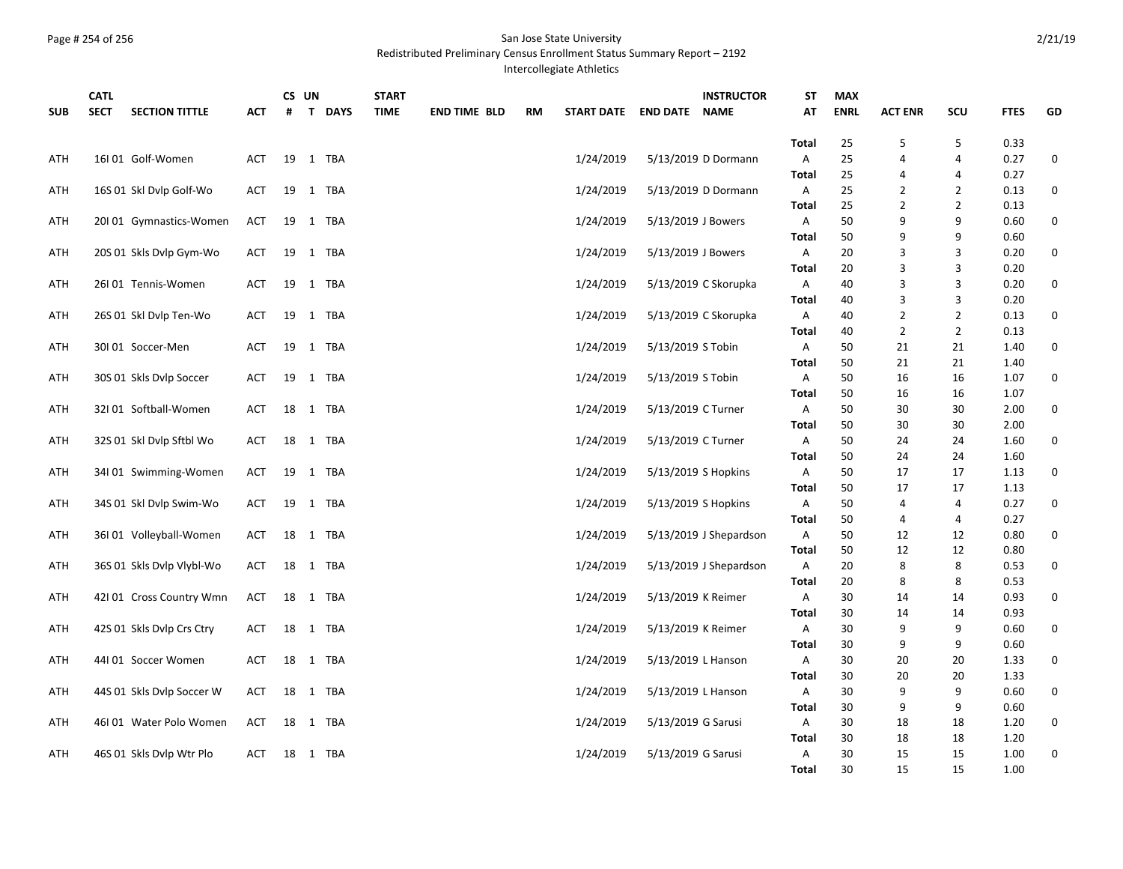## Page # 254 of 256 San Jose State University

Redistributed Preliminary Census Enrollment Status Summary Report – 2192

Intercollegiate Athletics

| <b>SUB</b> | <b>CATL</b><br><b>SECT</b><br><b>SECTION TITTLE</b> | АСТ        | #  | CS UN | T DAYS   | <b>START</b><br><b>TIME</b> | <b>END TIME BLD</b> | <b>RM</b> | START DATE END DATE NAME |                    | <b>INSTRUCTOR</b>      | <b>ST</b><br>AT | <b>MAX</b><br><b>ENRL</b> | <b>ACT ENR</b> | SCU            | <b>FTES</b> | GD |
|------------|-----------------------------------------------------|------------|----|-------|----------|-----------------------------|---------------------|-----------|--------------------------|--------------------|------------------------|-----------------|---------------------------|----------------|----------------|-------------|----|
|            |                                                     |            |    |       |          |                             |                     |           |                          |                    |                        | <b>Total</b>    | 25                        | 5              | 5              | 0.33        |    |
| ATH        | 16I01 Golf-Women                                    | ACT        |    |       | 19 1 TBA |                             |                     |           | 1/24/2019                |                    | 5/13/2019 D Dormann    | Α               | 25                        | 4              | 4              | 0.27        | 0  |
|            |                                                     |            |    |       |          |                             |                     |           |                          |                    |                        | <b>Total</b>    | 25                        | 4              | 4              | 0.27        |    |
| ATH        | 16S 01 Skl Dvlp Golf-Wo                             | ACT        |    |       | 19 1 TBA |                             |                     |           | 1/24/2019                |                    | 5/13/2019 D Dormann    | Α               | 25                        | 2              | $\overline{2}$ | 0.13        | 0  |
|            |                                                     |            |    |       |          |                             |                     |           |                          |                    |                        | <b>Total</b>    | 25                        | $\overline{2}$ | $\overline{2}$ | 0.13        |    |
| ATH        | 20101 Gymnastics-Women                              | ACT        | 19 |       | 1 TBA    |                             |                     |           | 1/24/2019                | 5/13/2019 J Bowers |                        | A               | 50                        | 9              | 9              | 0.60        | 0  |
|            |                                                     |            |    |       |          |                             |                     |           |                          |                    |                        | Total           | 50                        | 9              | 9              | 0.60        |    |
| ATH        | 20S 01 Skls Dvlp Gym-Wo                             | <b>ACT</b> | 19 |       | 1 TBA    |                             |                     |           | 1/24/2019                | 5/13/2019 J Bowers |                        | Α               | 20                        | 3              | 3              | 0.20        | 0  |
|            |                                                     |            |    |       |          |                             |                     |           |                          |                    |                        | <b>Total</b>    | 20                        | 3              | 3              | 0.20        |    |
| ATH        | 26I01 Tennis-Women                                  | ACT        |    |       | 19 1 TBA |                             |                     |           | 1/24/2019                |                    | 5/13/2019 C Skorupka   | A               | 40                        | 3              | 3              | 0.20        | 0  |
|            |                                                     |            |    |       |          |                             |                     |           |                          |                    |                        | <b>Total</b>    | 40                        | 3              | 3              | 0.20        |    |
| ATH        | 26S 01 Skl Dvlp Ten-Wo                              | ACT        | 19 |       | 1 TBA    |                             |                     |           | 1/24/2019                |                    | 5/13/2019 C Skorupka   | Α               | 40                        | $\overline{2}$ | $\overline{2}$ | 0.13        | 0  |
|            |                                                     |            |    |       |          |                             |                     |           |                          |                    |                        | Total           | 40                        | $\overline{2}$ | $\overline{2}$ | 0.13        |    |
| ATH        | 30I 01 Soccer-Men                                   | <b>ACT</b> | 19 |       | 1 TBA    |                             |                     |           | 1/24/2019                | 5/13/2019 S Tobin  |                        | A               | 50                        | 21             | 21             | 1.40        | 0  |
|            |                                                     |            |    |       |          |                             |                     |           |                          |                    |                        | Total           | 50                        | 21             | 21             | 1.40        |    |
| ATH        | 30S 01 Skls Dvlp Soccer                             | <b>ACT</b> | 19 |       | 1 TBA    |                             |                     |           | 1/24/2019                | 5/13/2019 S Tobin  |                        | Α               | 50                        | 16             | 16             | 1.07        | 0  |
|            |                                                     |            |    |       |          |                             |                     |           |                          |                    |                        | Total           | 50                        | 16             | 16             | 1.07        |    |
| ATH        | 32I 01 Softball-Women                               | ACT        |    |       | 18 1 TBA |                             |                     |           | 1/24/2019                | 5/13/2019 C Turner |                        | A               | 50                        | 30             | 30             | 2.00        | 0  |
|            |                                                     |            |    |       |          |                             |                     |           |                          |                    |                        | Total           | 50                        | 30             | 30             | 2.00        |    |
| ATH        | 32S 01 Skl Dvlp Sftbl Wo                            | <b>ACT</b> | 18 |       | 1 TBA    |                             |                     |           | 1/24/2019                | 5/13/2019 C Turner |                        | A               | 50                        | 24             | 24             | 1.60        | 0  |
|            |                                                     |            |    |       |          |                             |                     |           |                          |                    |                        | <b>Total</b>    | 50                        | 24             | 24             | 1.60        |    |
| ATH        | 34101 Swimming-Women                                | ACT        | 19 |       | 1 TBA    |                             |                     |           | 1/24/2019                |                    | 5/13/2019 S Hopkins    | A               | 50                        | 17             | 17             | 1.13        | 0  |
|            |                                                     |            |    |       |          |                             |                     |           |                          |                    |                        | Total           | 50                        | 17             | 17             | 1.13        |    |
| ATH        | 34S 01 Skl Dvlp Swim-Wo                             | <b>ACT</b> | 19 |       | 1 TBA    |                             |                     |           | 1/24/2019                |                    | 5/13/2019 S Hopkins    | A               | 50                        | 4              | $\overline{4}$ | 0.27        | 0  |
|            |                                                     |            |    |       |          |                             |                     |           |                          |                    |                        | <b>Total</b>    | 50                        | 4              | 4              | 0.27        |    |
| ATH        | 36I 01 Volleyball-Women                             | ACT        | 18 |       | 1 TBA    |                             |                     |           | 1/24/2019                |                    | 5/13/2019 J Shepardson | A               | 50                        | 12             | 12             | 0.80        | 0  |
|            |                                                     |            |    |       |          |                             |                     |           |                          |                    |                        | Total           | 50                        | 12             | 12             | 0.80        |    |
| ATH        | 36S 01 Skls Dvlp Vlybl-Wo                           | <b>ACT</b> | 18 |       | 1 TBA    |                             |                     |           | 1/24/2019                |                    | 5/13/2019 J Shepardson | A               | 20                        | 8              | 8              | 0.53        | 0  |
|            |                                                     |            |    |       |          |                             |                     |           |                          |                    |                        | <b>Total</b>    | 20                        | 8              | 8              | 0.53        |    |
| ATH        | 42101 Cross Country Wmn                             | ACT        |    |       | 18 1 TBA |                             |                     |           | 1/24/2019                |                    | 5/13/2019 K Reimer     | A               | 30                        | 14             | 14             | 0.93        | 0  |
|            |                                                     |            |    |       |          |                             |                     |           |                          |                    |                        | <b>Total</b>    | 30                        | 14             | 14             | 0.93        |    |
| ATH        | 42S 01 Skls Dvlp Crs Ctry                           | ACT        | 18 |       | 1 TBA    |                             |                     |           | 1/24/2019                | 5/13/2019 K Reimer |                        | Α               | 30                        | 9              | 9              | 0.60        | 0  |
|            |                                                     |            |    |       |          |                             |                     |           |                          |                    |                        | Total           | 30                        | 9              | 9              | 0.60        |    |
| ATH        | 44I 01 Soccer Women                                 | <b>ACT</b> | 18 |       | 1 TBA    |                             |                     |           | 1/24/2019                |                    | 5/13/2019 L Hanson     | Α               | 30                        | 20             | 20             | 1.33        | 0  |
|            |                                                     |            |    |       |          |                             |                     |           |                          |                    |                        | Total           | 30                        | 20             | 20             | 1.33        |    |
| ATH        | 44S 01 Skls Dvlp Soccer W                           | <b>ACT</b> | 18 |       | 1 TBA    |                             |                     |           | 1/24/2019                |                    | 5/13/2019 L Hanson     | Α               | 30                        | 9              | 9              | 0.60        | 0  |
|            |                                                     |            |    |       |          |                             |                     |           |                          |                    |                        | Total           | 30                        | 9              | 9              | 0.60        |    |
| ATH        | 46101 Water Polo Women                              | ACT        |    |       | 18 1 TBA |                             |                     |           | 1/24/2019                | 5/13/2019 G Sarusi |                        | Α               | 30                        | 18             | 18             | 1.20        | 0  |
|            |                                                     |            |    |       |          |                             |                     |           |                          |                    |                        | <b>Total</b>    | 30                        | 18             | 18             | 1.20        |    |
| ATH        | 46S 01 Skls Dvlp Wtr Plo                            | <b>ACT</b> | 18 |       | 1 TBA    |                             |                     |           | 1/24/2019                | 5/13/2019 G Sarusi |                        | A               | 30                        | 15             | 15             | 1.00        | 0  |
|            |                                                     |            |    |       |          |                             |                     |           |                          |                    |                        | <b>Total</b>    | 30                        | 15             | 15             | 1.00        |    |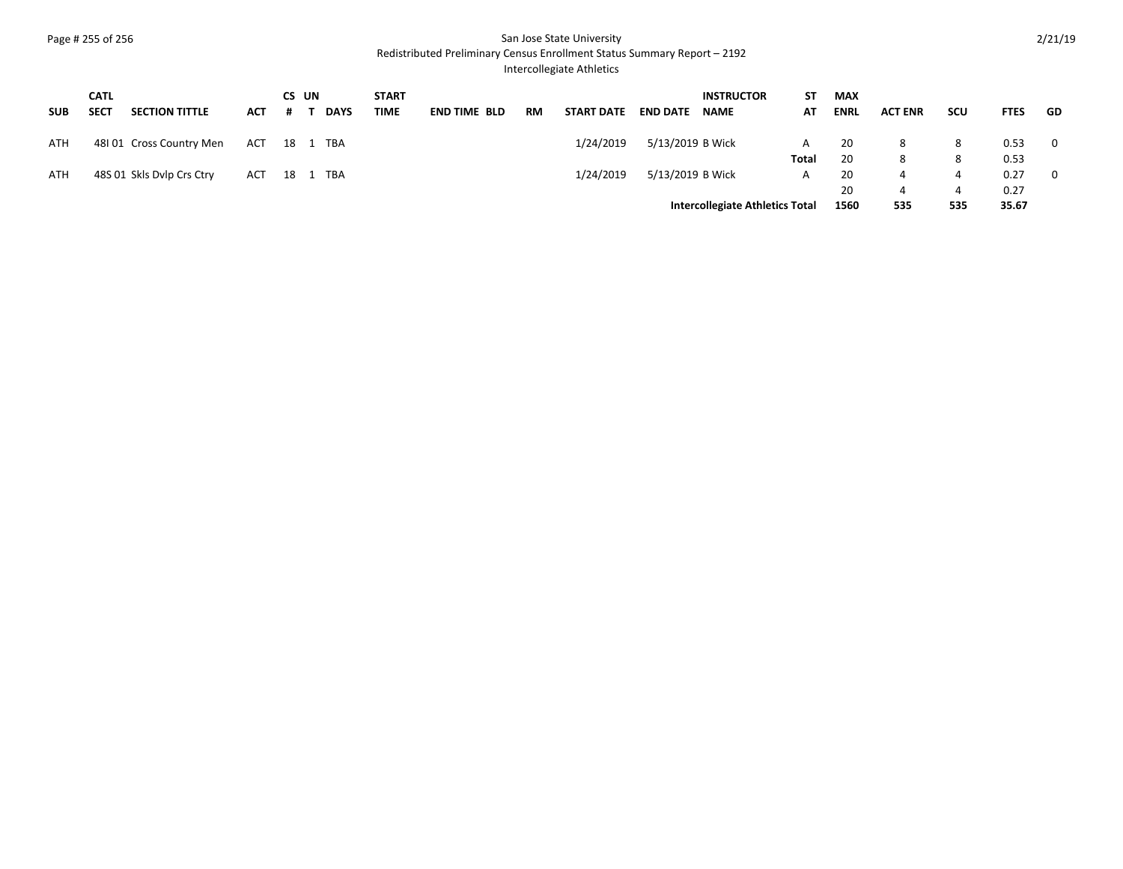## Page # 255 of 256 San Jose State University

Redistributed Preliminary Census Enrollment Status Summary Report – 2192

Intercollegiate Athletics

|            | <b>CATL</b> |                           |              |   | CS UN |             | <b>START</b> |                     |    |                   |                  | <b>INSTRUCTOR</b>                      | ST    | <b>MAX</b>  |                |            |             |                         |
|------------|-------------|---------------------------|--------------|---|-------|-------------|--------------|---------------------|----|-------------------|------------------|----------------------------------------|-------|-------------|----------------|------------|-------------|-------------------------|
| <b>SUB</b> | <b>SECT</b> | <b>SECTION TITTLE</b>     | ACT          | # |       | <b>DAYS</b> | TIME         | <b>END TIME BLD</b> | RM | <b>START DATE</b> | <b>END DATE</b>  | <b>NAME</b>                            | AT    | <b>ENRL</b> | <b>ACT ENR</b> | <b>SCU</b> | <b>FTES</b> | - GD                    |
| ATH        |             | 48101 Cross Country Men   | ACT 18 1 TBA |   |       |             |              |                     |    | 1/24/2019         | 5/13/2019 B Wick |                                        | A     | 20          | 8              | 8          | 0.53        | $\overline{\mathbf{0}}$ |
|            |             |                           |              |   |       |             |              |                     |    |                   |                  |                                        | Total | -20         | 8              |            | 0.53        |                         |
| ATH        |             | 48S 01 Skls Dvlp Crs Ctry | ACT 18 1 TBA |   |       |             |              |                     |    | 1/24/2019         | 5/13/2019 B Wick |                                        | A     | -20         | 4              |            | 0.27        | $\overline{0}$          |
|            |             |                           |              |   |       |             |              |                     |    |                   |                  |                                        |       | 20          | 4              |            | 0.27        |                         |
|            |             |                           |              |   |       |             |              |                     |    |                   |                  | <b>Intercollegiate Athletics Total</b> |       | 1560        | 535            | 535        | 35.67       |                         |